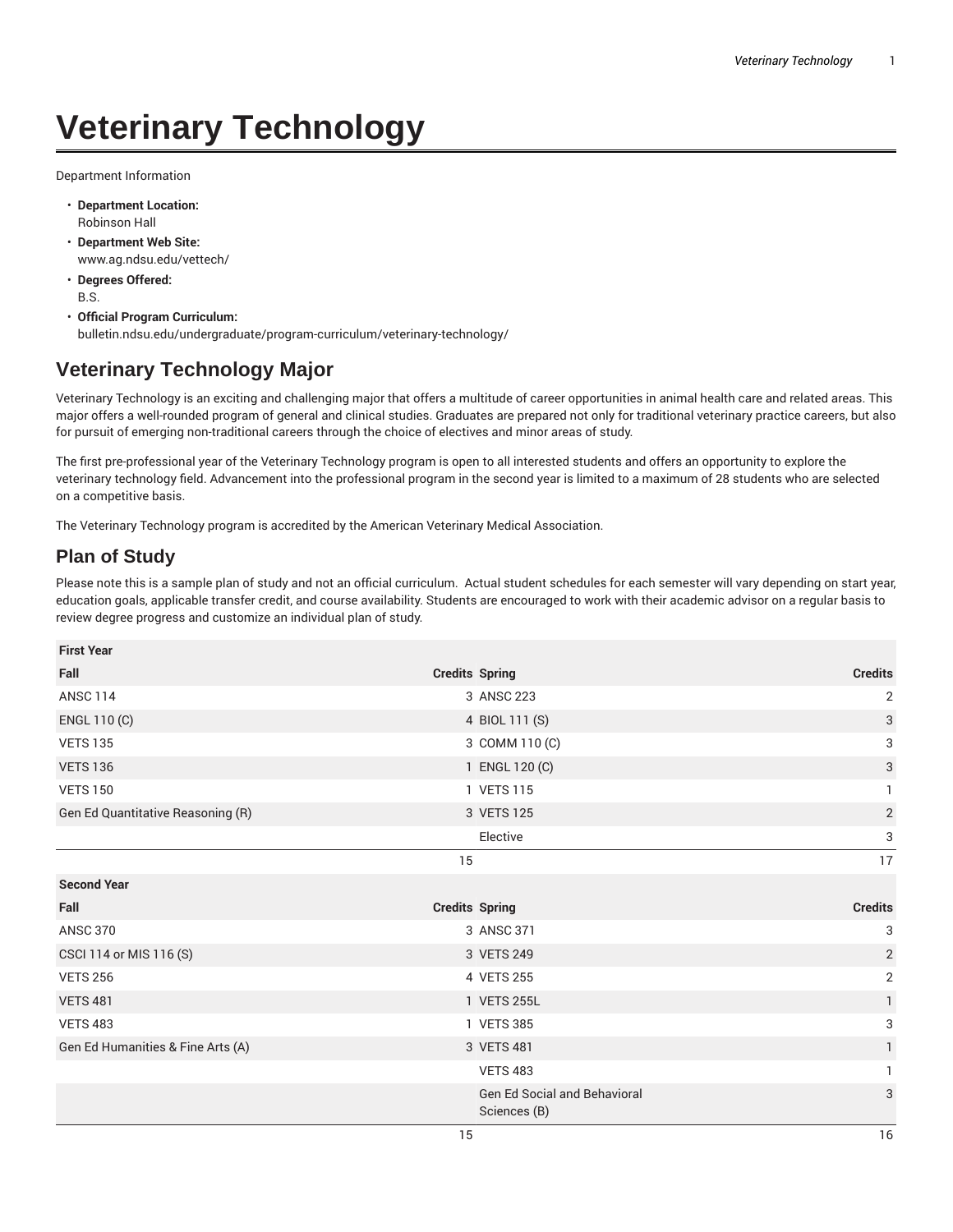## **Veterinary Technology**

Department Information

- **Department Location:** Robinson Hall
- **Department Web Site:** www.ag.ndsu.edu/vettech/
- **Degrees Offered:** B.S.
- **Official Program Curriculum:** bulletin.ndsu.edu/undergraduate/program-curriculum/veterinary-technology/

## **Veterinary Technology Major**

Veterinary Technology is an exciting and challenging major that offers a multitude of career opportunities in animal health care and related areas. This major offers a well-rounded program of general and clinical studies. Graduates are prepared not only for traditional veterinary practice careers, but also for pursuit of emerging non-traditional careers through the choice of electives and minor areas of study.

The first pre-professional year of the Veterinary Technology program is open to all interested students and offers an opportunity to explore the veterinary technology field. Advancement into the professional program in the second year is limited to a maximum of 28 students who are selected on a competitive basis.

The Veterinary Technology program is accredited by the American Veterinary Medical Association.

## **Plan of Study**

Please note this is a sample plan of study and not an official curriculum. Actual student schedules for each semester will vary depending on start year, education goals, applicable transfer credit, and course availability. Students are encouraged to work with their academic advisor on a regular basis to review degree progress and customize an individual plan of study.

| <b>First Year</b>                 |                                     |                |
|-----------------------------------|-------------------------------------|----------------|
| Fall                              | <b>Credits Spring</b>               | <b>Credits</b> |
| <b>ANSC 114</b>                   | 3 ANSC 223                          | 2              |
| ENGL 110 (C)                      | 4 BIOL 111 (S)                      | 3              |
| <b>VETS 135</b>                   | 3 COMM 110 (C)                      | 3              |
| <b>VETS 136</b>                   | 1 ENGL 120 (C)                      | 3              |
| <b>VETS 150</b>                   | 1 VETS 115                          | $\mathbf{1}$   |
| Gen Ed Quantitative Reasoning (R) | 3 VETS 125                          | $\sqrt{2}$     |
|                                   | Elective                            | 3              |
|                                   | 15                                  | 17             |
| <b>Second Year</b>                |                                     |                |
| Fall                              | <b>Credits Spring</b>               | <b>Credits</b> |
| <b>ANSC 370</b>                   | 3 ANSC 371                          | 3              |
| CSCI 114 or MIS 116 (S)           | 3 VETS 249                          | $\overline{2}$ |
| <b>VETS 256</b>                   | 4 VETS 255                          | 2              |
| <b>VETS 481</b>                   | 1 VETS 255L                         | $\mathbf{1}$   |
| <b>VETS 483</b>                   | 1 VETS 385                          | 3              |
| Gen Ed Humanities & Fine Arts (A) | 3 VETS 481                          | 1              |
|                                   | <b>VETS 483</b>                     | 1              |
|                                   | <b>Gen Ed Social and Behavioral</b> | 3              |